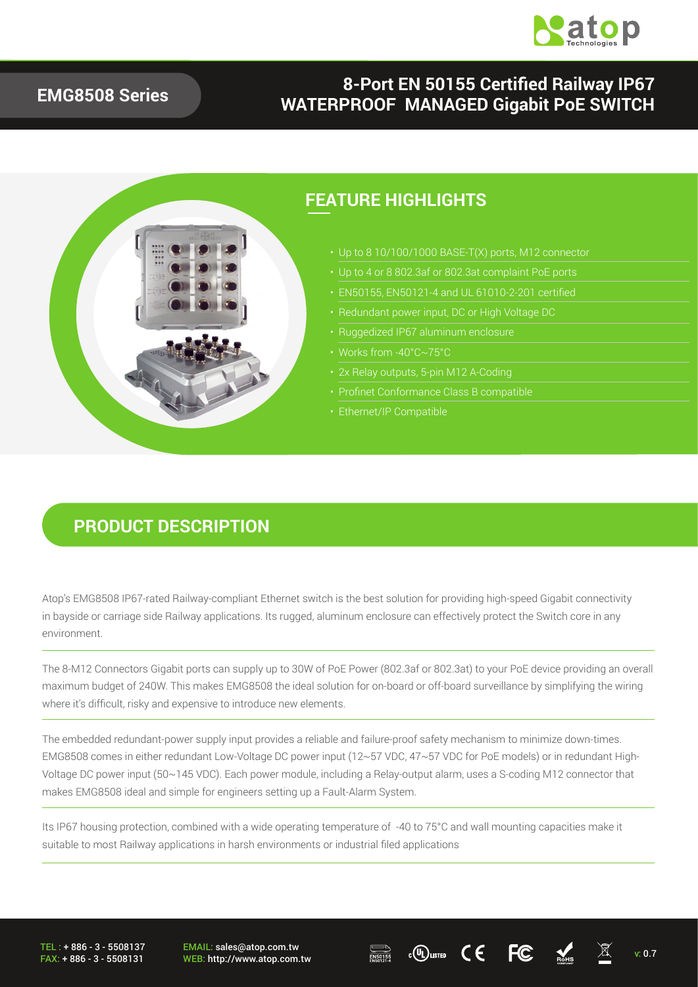

#### **EMG8508 Series**

#### **8-Port EN 50155 Certified Railway IP67 WATERPROOF MANAGED Gigabit PoE SWITCH**



#### **PRODUCT DESCRIPTION**

Atop's EMG8508 IP67-rated Railway-compliant Ethernet switch is the best solution for providing high-speed Gigabit connectivity in bayside or carriage side Railway applications. Its rugged, aluminum enclosure can effectively protect the Switch core in any environment.

The 8-M12 Connectors Gigabit ports can supply up to 30W of PoE Power (802.3af or 802.3at) to your PoE device providing an overall maximum budget of 240W. This makes EMG8508 the ideal solution for on-board or off-board surveillance by simplifying the wiring where it's difficult, risky and expensive to introduce new elements.

The embedded redundant-power supply input provides a reliable and failure-proof safety mechanism to minimize down-times. EMG8508 comes in either redundant Low-Voltage DC power input (12~57 VDC, 47~57 VDC for PoE models) or in redundant High-Voltage DC power input (50~145 VDC). Each power module, including a Relay-output alarm, uses a S-coding M12 connector that makes EMG8508 ideal and simple for engineers setting up a Fault-Alarm System.

Its IP67 housing protection, combined with a wide operating temperature of -40 to 75°C and wall mounting capacities make it suitable to most Railway applications in harsh environments or industrial filed applications

TEL : + 886 - 3 - 5508137 FAX: + 886 - 3 - 5508131 EMAIL: sales@atop.com.tw EMAIL: sales@atop.com.tw  $\overline{\mathbb{R}^{\text{S0155}}_{\text{R0154}}}$  c $\overline{\mathbb{Q}}$ usted  $\overline{\mathbb{C}}$   $\overline{\mathbb{C}}$   $\overline{\mathbb{R}^{\text{S0155}}_{\text{R0154}}}$  v: 0.7



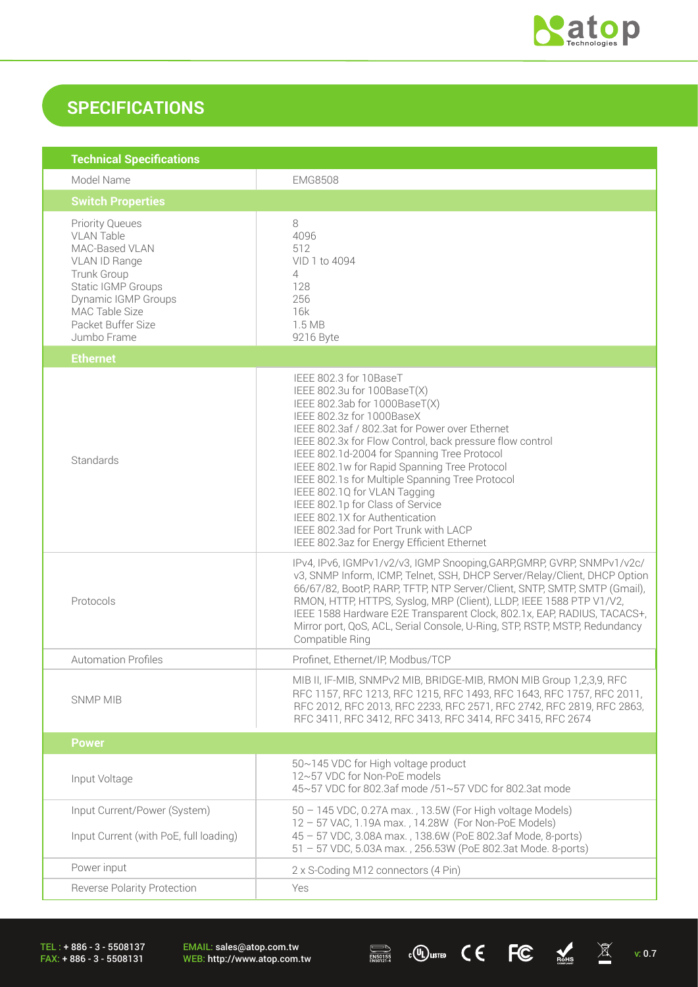

## **SPECIFICATIONS**

| <b>Technical Specifications</b>                                                                                                                                                                   |                                                                                                                                                                                                                                                                                                                                                                                                                                                                                                                                                                                  |  |
|---------------------------------------------------------------------------------------------------------------------------------------------------------------------------------------------------|----------------------------------------------------------------------------------------------------------------------------------------------------------------------------------------------------------------------------------------------------------------------------------------------------------------------------------------------------------------------------------------------------------------------------------------------------------------------------------------------------------------------------------------------------------------------------------|--|
| Model Name                                                                                                                                                                                        | <b>EMG8508</b>                                                                                                                                                                                                                                                                                                                                                                                                                                                                                                                                                                   |  |
| <b>Switch Properties</b>                                                                                                                                                                          |                                                                                                                                                                                                                                                                                                                                                                                                                                                                                                                                                                                  |  |
| <b>Priority Queues</b><br><b>VLAN Table</b><br>MAC-Based VLAN<br>VLAN ID Range<br>Trunk Group<br>Static IGMP Groups<br>Dynamic IGMP Groups<br>MAC Table Size<br>Packet Buffer Size<br>Jumbo Frame | 8<br>4096<br>512<br>VID 1 to 4094<br>4<br>128<br>256<br>16k<br>1.5 MB<br>9216 Byte                                                                                                                                                                                                                                                                                                                                                                                                                                                                                               |  |
| <b>Ethernet</b>                                                                                                                                                                                   |                                                                                                                                                                                                                                                                                                                                                                                                                                                                                                                                                                                  |  |
| Standards                                                                                                                                                                                         | IEEE 802.3 for 10BaseT<br>IEEE 802.3u for 100BaseT(X)<br>IEEE 802.3ab for 1000BaseT(X)<br>IEEE 802.3z for 1000BaseX<br>IEEE 802.3af / 802.3at for Power over Ethernet<br>IEEE 802.3x for Flow Control, back pressure flow control<br>IEEE 802.1d-2004 for Spanning Tree Protocol<br>IEEE 802.1w for Rapid Spanning Tree Protocol<br>IEEE 802.1s for Multiple Spanning Tree Protocol<br>IEEE 802.1Q for VLAN Tagging<br>IEEE 802.1p for Class of Service<br>IEEE 802.1X for Authentication<br>IEEE 802.3ad for Port Trunk with LACP<br>IEEE 802.3az for Energy Efficient Ethernet |  |
| Protocols                                                                                                                                                                                         | IPv4, IPv6, IGMPv1/v2/v3, IGMP Snooping, GARP, GMRP, GVRP, SNMPv1/v2c/<br>v3, SNMP Inform, ICMP, Telnet, SSH, DHCP Server/Relay/Client, DHCP Option<br>66/67/82, BootP, RARP, TFTP, NTP Server/Client, SNTP, SMTP, SMTP (Gmail),<br>RMON, HTTP, HTTPS, Syslog, MRP (Client), LLDP, IEEE 1588 PTP V1/V2,<br>IEEE 1588 Hardware E2E Transparent Clock, 802.1x, EAP, RADIUS, TACACS+,<br>Mirror port, QoS, ACL, Serial Console, U-Ring, STP, RSTP, MSTP, Redundancy<br>Compatible Ring                                                                                              |  |
| <b>Automation Profiles</b>                                                                                                                                                                        | Profinet, Ethernet/IP, Modbus/TCP                                                                                                                                                                                                                                                                                                                                                                                                                                                                                                                                                |  |
| <b>SNMP MIB</b>                                                                                                                                                                                   | MIB II, IF-MIB, SNMPv2 MIB, BRIDGE-MIB, RMON MIB Group 1,2,3,9, RFC<br>RFC 1157, RFC 1213, RFC 1215, RFC 1493, RFC 1643, RFC 1757, RFC 2011,<br>RFC 2012, RFC 2013, RFC 2233, RFC 2571, RFC 2742, RFC 2819, RFC 2863,<br>RFC 3411, RFC 3412, RFC 3413, RFC 3414, RFC 3415, RFC 2674                                                                                                                                                                                                                                                                                              |  |
| <b>Power</b>                                                                                                                                                                                      |                                                                                                                                                                                                                                                                                                                                                                                                                                                                                                                                                                                  |  |
| Input Voltage                                                                                                                                                                                     | 50~145 VDC for High voltage product<br>12~57 VDC for Non-PoE models<br>45~57 VDC for 802.3af mode /51~57 VDC for 802.3at mode                                                                                                                                                                                                                                                                                                                                                                                                                                                    |  |
| Input Current/Power (System)<br>Input Current (with PoE, full loading)                                                                                                                            | 50 - 145 VDC, 0.27A max., 13.5W (For High voltage Models)<br>12 - 57 VAC, 1.19A max., 14.28W (For Non-PoE Models)<br>45 - 57 VDC, 3.08A max., 138.6W (PoE 802.3af Mode, 8-ports)<br>51 - 57 VDC, 5.03A max., 256.53W (PoE 802.3at Mode. 8-ports)                                                                                                                                                                                                                                                                                                                                 |  |
| Power input                                                                                                                                                                                       | 2 x S-Coding M12 connectors (4 Pin)                                                                                                                                                                                                                                                                                                                                                                                                                                                                                                                                              |  |
| Reverse Polarity Protection                                                                                                                                                                       | Yes                                                                                                                                                                                                                                                                                                                                                                                                                                                                                                                                                                              |  |

TEL : + 886 - 3 - 5508137 FAX: + 886 - 3 - 5508131

EMAIL: sales@atop.com.tw<br>WEB: http://www.atop.com.tw

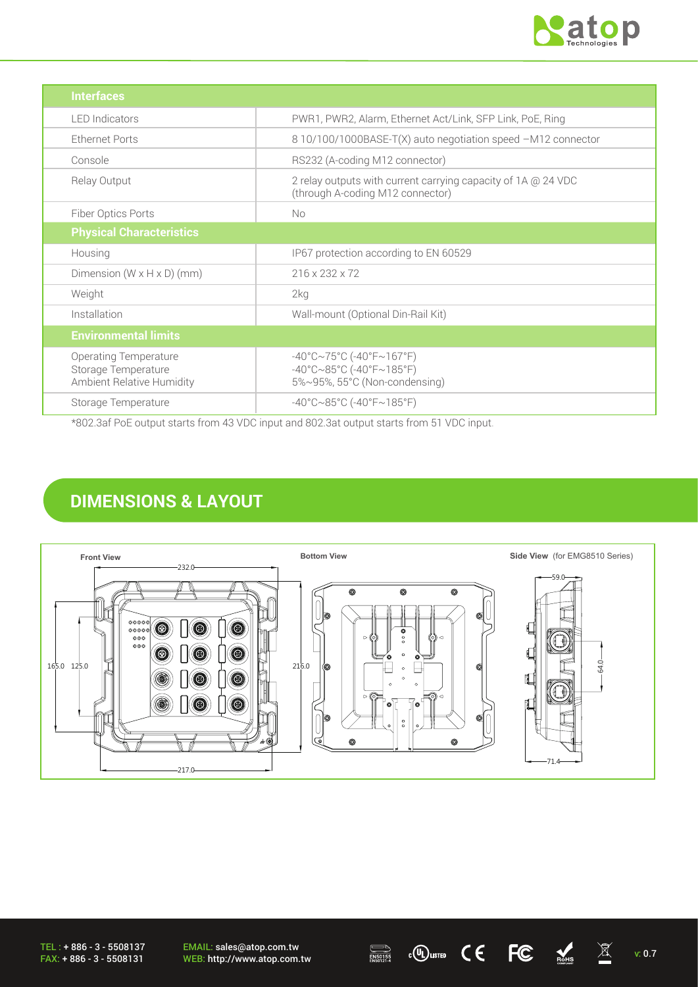

| <b>Interfaces</b>                                                                |                                                                                                                                       |
|----------------------------------------------------------------------------------|---------------------------------------------------------------------------------------------------------------------------------------|
| <b>LED</b> Indicators                                                            | PWR1, PWR2, Alarm, Ethernet Act/Link, SFP Link, PoE, Ring                                                                             |
| Ethernet Ports                                                                   | 8 10/100/1000BASE-T(X) auto negotiation speed -M12 connector                                                                          |
| Console                                                                          | RS232 (A-coding M12 connector)                                                                                                        |
| Relay Output                                                                     | 2 relay outputs with current carrying capacity of 1A @ 24 VDC<br>(through A-coding M12 connector)                                     |
| Fiber Optics Ports                                                               | No                                                                                                                                    |
| <b>Physical Characteristics</b>                                                  |                                                                                                                                       |
| Housing                                                                          | IP67 protection according to EN 60529                                                                                                 |
| Dimension $(W \times H \times D)$ (mm)                                           | 216 x 232 x 72                                                                                                                        |
| Weight                                                                           | 2kg                                                                                                                                   |
| Installation                                                                     | Wall-mount (Optional Din-Rail Kit)                                                                                                    |
| <b>Environmental limits</b>                                                      |                                                                                                                                       |
| <b>Operating Temperature</b><br>Storage Temperature<br>Ambient Relative Humidity | $-40^{\circ}$ C $\sim$ 75°C (-40°F $\sim$ 167°F)<br>$-40^{\circ}$ C $\sim$ 85°C (-40°F $\sim$ 185°F)<br>5%~95%, 55°C (Non-condensing) |
| Storage Temperature                                                              | $-40^{\circ}$ C $\sim$ 85°C (-40°F $\sim$ 185°F)                                                                                      |

\*802.3af PoE output starts from 43 VDC input and 802.3at output starts from 51 VDC input.

## **DIMENSIONS & LAYOUT**



TEL : + 886 - 3 - 5508137 FAX: + 886 - 3 - 5508131

EMAIL: sales@atop.com.tw EMAIL: sales@atop.com.tw  $\overline{\mathbb{R}}$   $\mathbb{C}$   $\mathbb{C}$   $\mathbb{C}$   $\overline{\mathbb{R}}$   $\mathbb{R}$  v: 0.7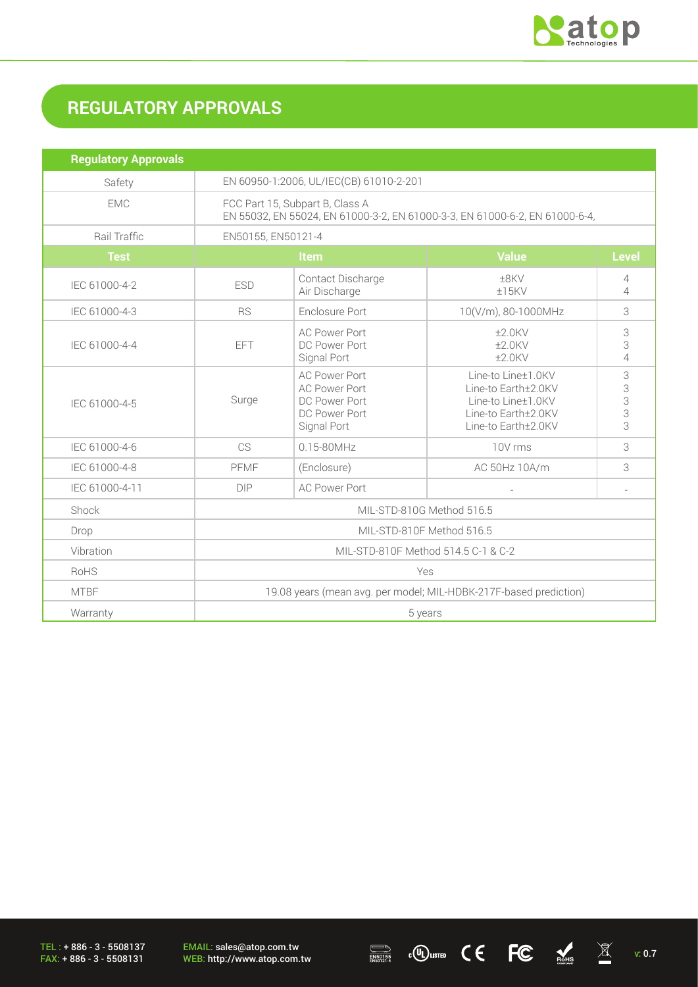

# **REGULATORY APPROVALS**

| <b>Regulatory Approvals</b> |                                                                                                                |                                                                                               |                                                                                                               |                          |
|-----------------------------|----------------------------------------------------------------------------------------------------------------|-----------------------------------------------------------------------------------------------|---------------------------------------------------------------------------------------------------------------|--------------------------|
| Safety                      | EN 60950-1:2006, UL/IEC(CB) 61010-2-201                                                                        |                                                                                               |                                                                                                               |                          |
| <b>EMC</b>                  | FCC Part 15, Subpart B, Class A<br>EN 55032, EN 55024, EN 61000-3-2, EN 61000-3-3, EN 61000-6-2, EN 61000-6-4, |                                                                                               |                                                                                                               |                          |
| Rail Traffic                | EN50155, EN50121-4                                                                                             |                                                                                               |                                                                                                               |                          |
| <b>Test</b>                 | Item                                                                                                           |                                                                                               | <b>Value</b>                                                                                                  | <b>Level</b>             |
| IEC 61000-4-2               | <b>ESD</b>                                                                                                     | Contact Discharge<br>Air Discharge                                                            | ±8KV<br>$±15$ KV                                                                                              | 4<br>$\overline{4}$      |
| IEC 61000-4-3               | <b>RS</b>                                                                                                      | Enclosure Port                                                                                | 10(V/m), 80-1000MHz                                                                                           | 3                        |
| IEC 61000-4-4               | <b>EFT</b>                                                                                                     | <b>AC Power Port</b><br>DC Power Port<br>Signal Port                                          | $±2.0$ KV<br>$±2.0$ KV<br>$±2.0$ KV                                                                           | 3<br>3<br>$\overline{4}$ |
| IEC 61000-4-5               | Surge                                                                                                          | <b>AC Power Port</b><br><b>AC Power Port</b><br>DC Power Port<br>DC Power Port<br>Signal Port | Line-to Line±1.0KV<br>Line-to Earth±2.0KV<br>Line-to Line±1.0KV<br>Line-to Earth±2.0KV<br>Line-to Earth±2.0KV | 3<br>3<br>3<br>3<br>3    |
| IEC 61000-4-6               | CS                                                                                                             | $0.15 - 80$ MHz                                                                               | 10V rms                                                                                                       | 3                        |
| IEC 61000-4-8               | PFMF                                                                                                           | (Enclosure)                                                                                   | AC 50Hz 10A/m                                                                                                 | 3                        |
| IEC 61000-4-11              | DIP                                                                                                            | <b>AC Power Port</b>                                                                          |                                                                                                               |                          |
| Shock                       | MIL-STD-810G Method 516.5                                                                                      |                                                                                               |                                                                                                               |                          |
| Drop                        | MIL-STD-810F Method 516.5                                                                                      |                                                                                               |                                                                                                               |                          |
| Vibration                   | MIL-STD-810F Method 514.5 C-1 & C-2                                                                            |                                                                                               |                                                                                                               |                          |
| <b>RoHS</b>                 | Yes                                                                                                            |                                                                                               |                                                                                                               |                          |
| <b>MTBF</b>                 | 19.08 years (mean avg. per model; MIL-HDBK-217F-based prediction)                                              |                                                                                               |                                                                                                               |                          |
| Warranty                    | 5 years                                                                                                        |                                                                                               |                                                                                                               |                          |